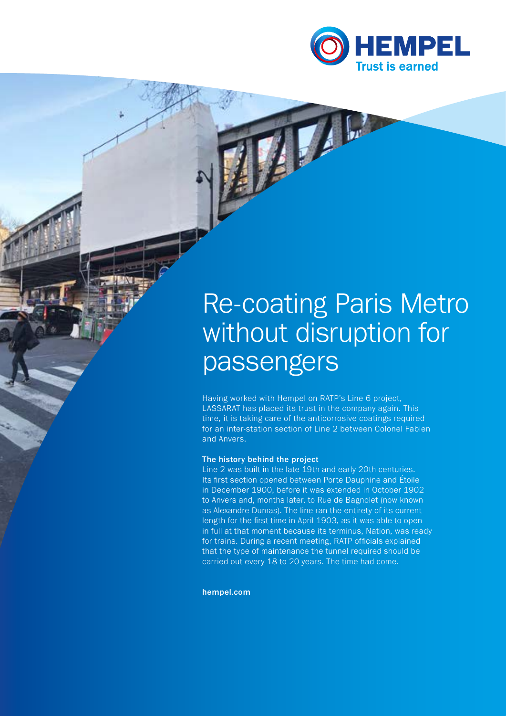

## Re-coating Paris Metro without disruption for passengers

Having worked with Hempel on RATP's Line 6 project, LASSARAT has placed its trust in the company again. This time, it is taking care of the anticorrosive coatings required for an inter-station section of Line 2 between Colonel Fabien and Anvers.

## The history behind the project

Line 2 was built in the late 19th and early 20th centuries. Its first section opened between Porte Dauphine and Étoile in December 1900, before it was extended in October 1902 to Anvers and, months later, to Rue de Bagnolet (now known as Alexandre Dumas). The line ran the entirety of its current length for the first time in April 1903, as it was able to open in full at that moment because its terminus, Nation, was ready for trains. During a recent meeting, RATP officials explained that the type of maintenance the tunnel required should be carried out every 18 to 20 years. The time had come.

hempel.com